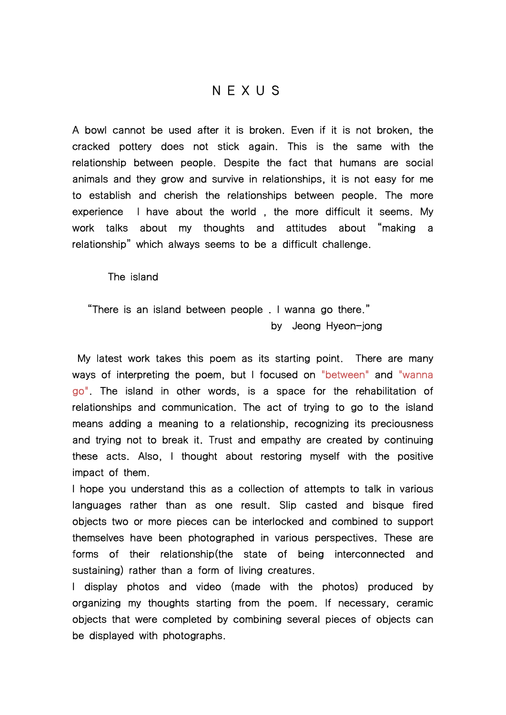## N E X U S

A bowl cannot be used after it is broken. Even if it is not broken, the cracked pottery does not stick again. This is the same with the relationship between people. Despite the fact that humans are social animals and they grow and survive in relationships, it is not easy for me to establish and cherish the relationships between people. The more experience I have about the world , the more difficult it seems. My work talks about my thoughts and attitudes about "making a relationship" which always seems to be a difficult challenge.

The island

 "There is an island between people . I wanna go there." by Jeong Hyeon-jong

 My latest work takes this poem as its starting point. There are many ways of interpreting the poem, but I focused on "between" and "wanna go". The island in other words, is a space for the rehabilitation of relationships and communication. The act of trying to go to the island means adding a meaning to a relationship, recognizing its preciousness and trying not to break it. Trust and empathy are created by continuing these acts. Also, I thought about restoring myself with the positive impact of them.

I hope you understand this as a collection of attempts to talk in various languages rather than as one result. Slip casted and bisque fired objects two or more pieces can be interlocked and combined to support themselves have been photographed in various perspectives. These are forms of their relationship(the state of being interconnected and sustaining) rather than a form of living creatures.

I display photos and video (made with the photos) produced by organizing my thoughts starting from the poem. If necessary, ceramic objects that were completed by combining several pieces of objects can be displayed with photographs.